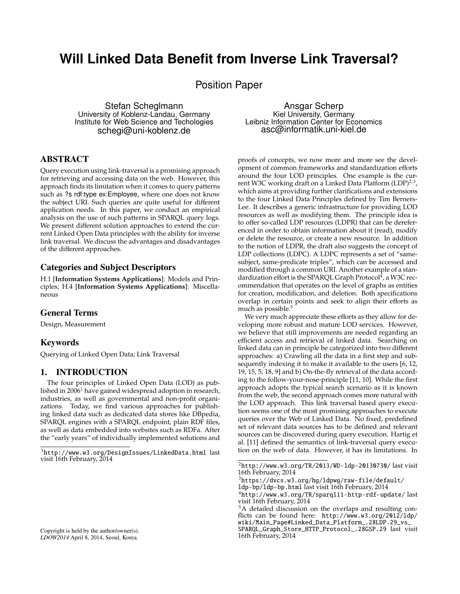# **Will Linked Data Benefit from Inverse Link Traversal?**

Position Paper

Stefan Scheglmann University of Koblenz-Landau, Germany Institute for Web Science and Techologies schegi@uni-koblenz.de

# ABSTRACT

Query execution using link-traversal is a promising approach for retrieving and accessing data on the web. However, this approach finds its limitation when it comes to query patterns such as ?s rdf:type ex:Employee, where one does not know the subject URI. Such queries are quite useful for different application needs. In this paper, we conduct an empirical analysis on the use of such patterns in SPARQL query logs. We present different solution approaches to extend the current Linked Open Data principles with the ability for inverse link traversal. We discuss the advantages and disadvantages of the different approaches.

# Categories and Subject Descriptors

H.1 [**Information Systems Applications**]: Models and Principles; H.4 [**Information Systems Applications**]: Miscellaneous

# General Terms

Design, Measurement

### Keywords

Querying of Linked Open Data; Link Traversal

### 1. INTRODUCTION

The four principles of Linked Open Data (LOD) as published in 2006<sup>1</sup> have gained widespread adoption in research, industries, as well as governmental and non-profit organizations. Today, we find various approaches for publishing linked data such as dedicated data stores like DBpedia, SPARQL engines with a SPARQL endpoint, plain RDF files, as well as data embedded into websites such as RDFa. After the "early years" of individually implemented solutions and

Ansgar Scherp Kiel University, Germany Leibniz Information Center for Economics asc@informatik.uni-kiel.de

proofs of concepts, we now more and more see the development of common frameworks and standardization efforts around the four LOD principles. One example is the current W3C working draft on a Linked Data Platform (LDP)<sup>2,3</sup>, which aims at providing further clarifications and extensions to the four Linked Data Principles defined by Tim Berners-Lee. It describes a generic infrastructure for providing LOD resources as well as modifying them. The principle idea is to offer so-called LDP resources (LDPR) that can be dereferenced in order to obtain information about it (read), modify or delete the resource, or create a new resource. In addition to the notion of LDPR, the draft also suggests the concept of LDP collections (LDPC). A LDPC represents a set of "samesubject, same-predicate triples", which can be accessed and modified through a common URI. Another example of a standardization effort is the SPARQL Graph Protocol<sup>4</sup>, a W3C recommendation that operates on the level of graphs as entities for creation, modification, and deletion. Both specifications overlap in certain points and seek to align their efforts as much as possible.<sup>5</sup>

We very much appreciate these efforts as they allow for developing more robust and mature LOD services. However, we believe that still improvements are needed regarding an efficient access and retrieval of linked data. Searching on linked data can in principle be categorized into two different approaches: a) Crawling all the data in a first step and subsequently indexing it to make it available to the users [6, 12, 19, 15, 5, 18, 9] and b) On-the-fly retrieval of the data according to the follow-your-nose-principle [11, 10]. While the first approach adopts the typical search scenario as it is known from the web, the second approach comes more natural with the LOD approach. This link traversal based query execution seems one of the most promising approaches to execute queries over the Web of Linked Data. No fixed, predefined set of relevant data sources has to be defined and relevant sources can be discovered during query execution. Hartig et al. [11] defined the semantics of link-traversal query execution on the web of data. However, it has its limitations. In

<sup>1</sup>http://www.w3.org/DesignIssues/LinkedData.html last visit 16th February, 2014

<sup>2</sup>http://www.w3.org/TR/2013/WD-ldp-20130730/ last visit 16th February, 2014

 $3$ https://dvcs.w3.org/hg/ldpwg/raw-file/default/ ldp-bp/ldp-bp.html last visit 16th February, 2014

<sup>4</sup>http://www.w3.org/TR/sparql11-http-rdf-update/ last visit 16th February, 2014

<sup>&</sup>lt;sup>5</sup>A detailed discussion on the overlaps and resulting conflicts can be found here: http://www.w3.org/2012/ldp/ wiki/Main\_Page#Linked\_Data\_Platform\_.28LDP.29\_vs\_

SPARQL\_Graph\_Store\_HTTP\_Protocol\_.28GSP.29 last visit 16th February, 2014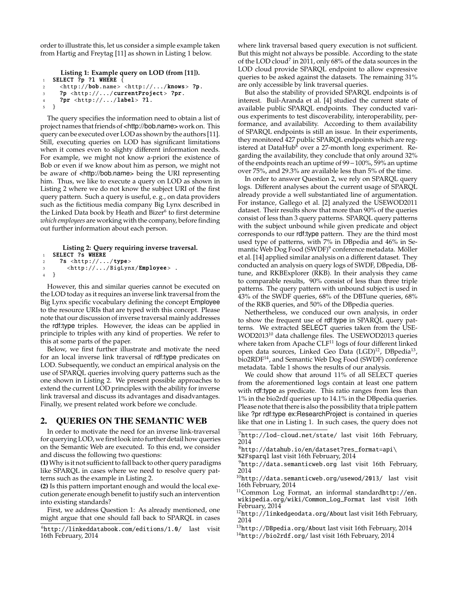order to illustrate this, let us consider a simple example taken from Hartig and Freytag [11] as shown in Listing 1 below.

```
Listing 1: Example query on LOD (from [11]).
1 SELECT ?p ?l WHERE \{2 \n  <http://bob.name> <http://.../knows> ?p.3 ?p <http://.../currentProject> ?pr.
4 ?pr \langle \text{http://.../label}>?1.
5 }
```
The query specifies the information need to obtain a list of project names that friends of <http://bob.name> work on. This query can be executed over LOD as shown by the authors [11]. Still, executing queries on LOD has significant limitations when it comes even to slighty different information needs. For example, we might not know a-priori the existence of Bob or even if we know about him as person, we might not be aware of <http://bob.name> being the URI representing him. Thus, we like to execute a query on LOD as shown in Listing 2 where we do not know the subject URI of the first query pattern. Such a query is useful, e. g., on data providers such as the fictitious media company Big Lynx described in the Linked Data book by Heath and Bizer<sup>6</sup> to first determine *which employees* are working with the company, before finding out further information about each person.

```
Listing 2: Query requiring inverse traversal.
1 SELECT ?s WHERE
2 ?s \langlehttp://.../type>
3 <http://.../BigLynx/Employee>.
4 }
```
However, this and similar queries cannot be executed on the LOD today as it requires an inverse link traversal from the Big Lynx specific vocabulary defining the concept Employee to the resource URIs that are typed with this concept. Please note that our discussion of inverse traversal mainly addresses the rdf:type triples. However, the ideas can be applied in principle to triples with any kind of properties. We refer to this at some parts of the paper.

Below, we first further illustrate and motivate the need for an local inverse link traversal of rdf:type predicates on LOD. Subsequently, we conduct an empirical analysis on the use of SPARQL queries involving query patterns such as the one shown in Listing 2. We present possible approaches to extend the current LOD principles with the ability for inverse link traversal and discuss its advantages and disadvantages. Finally, we present related work before we conclude.

# 2. QUERIES ON THE SEMANTIC WEB

In order to motivate the need for an inverse link-traversal for querying LOD, we first look into further detail how queries on the Semantic Web are executed. To this end, we consider and discuss the following two questions:

**(1)**Why is it not sufficient to fall back to other query paradigms like SPARQL in cases where we need to resolve query patterns such as the example in Listing 2.

**(2)** Is this pattern important enough and would the local execution generate enough benefit to justify such an intervention into existing standards?

First, we address Question 1: As already mentioned, one might argue that one should fall back to SPARQL in cases where link traversal based query execution is not sufficient. But this might not always be possible. According to the state of the LOD cloud<sup>7</sup> in 2011, only 68% of the data sources in the LOD cloud provide SPARQL endpoint to allow expressive queries to be asked against the datasets. The remaining 31% are only accessible by link traversal queries.

But also the stability of provided SPARQL endpoints is of interest. Buil-Aranda et al. [4] studied the current state of available public SPARQL endpoints. They conducted various experiments to test discoverability, interoperability, performance, and availability. According to them availability of SPARQL endpoints is still an issue. In their experiments, they monitored 427 public SPARQL endpoints which are registered at DataHub<sup>8</sup> over a 27-month long experiment. Regarding the availability, they conclude that only around 32% of the endpoints reach an uptime of 99−100%, 59% an uptime over 75%, and 29.3% are available less than 5% of the time.

In order to answer Question 2, we rely on SPARQL query logs. Different analyses about the current usage of SPARQL already provide a well substantiated line of argumentation. For instance, Gallego et al. [2] analyzed the USEWOD2011 dataset. Their results show that more than 90% of the queries consist of less than 3 query patterns. SPARQL query patterns with the subject unbound while given predicate and object corresponds to our rdf:type pattern. They are the third most used type of patterns, with 7% in DBpedia and 46% in Semantic Web Dog Food (SWDF)<sup>9</sup> conference metadata. Möller et al. [14] applied similar analysis on a different dataset. They conducted an analysis on query logs of SWDF, DBpedia, DBtune, and RKBExplorer (RKB). In their analysis they came to comparable results, 90% consist of less than three triple patterns. The query pattern with unbound subject is used in 43% of the SWDF queries, 68% of the DBTune queries, 68% of the RKB queries, and 50% of the DBpedia queries.

Nethertheless, we conduced our own analysis, in order to show the frequent use of rdf:type in SPARQL query patterns. We extracted SELECT queries taken from the USE-WOD2013<sup>10</sup> data challenge files. The USEWOD2013 queries where taken from Apache CLF<sup>11</sup> logs of four different linked open data sources, Linked Geo Data (LGD)<sup>12</sup>, DBpedia<sup>13</sup>, bio2RDF<sup>14</sup>, and Semantic Web Dog Food (SWDF) conference metadata. Table 1 shows the results of our analysis.

We could show that around 11% of all SELECT queries from the aforementioned logs contain at least one pattern with rdf:type as predicate. This ratio ranges from less than 1% in the bio2rdf queries up to 14.1% in the DBpedia queries. Please note that there is also the possibility that a triple pattern like ?pr rdf:type ex:ResearchProject is contained in queries like that one in Listing 1. In such cases, the query does not

<sup>8</sup>http://datahub.io/en/dataset?res\_format=api\

%2Fsparql last visit 16th February, 2014

 $10$ http://data.semanticweb.org/usewod/2013/ last visit 16th February, 2014

<sup>11</sup>Common Log Format, an informal standardhttp://en. wikipedia.org/wiki/Common\_Log\_Format last visit 16th February, 2014

<sup>12</sup>http://linkedgeodata.org/About last visit 16th February, 2014

<sup>13</sup>http://DBpedia.org/About last visit 16th February, 2014

<sup>14</sup>http://bio2rdf.org/ last visit 16th February, 2014

 $^{6}$ http://linkeddatabook.com/editions/1.0/ last visit 16th February, 2014

<sup>7</sup>http://lod-cloud.net/state/ last visit 16th February, 2014

<sup>9</sup>http://data.semanticweb.org last visit 16th February, 2014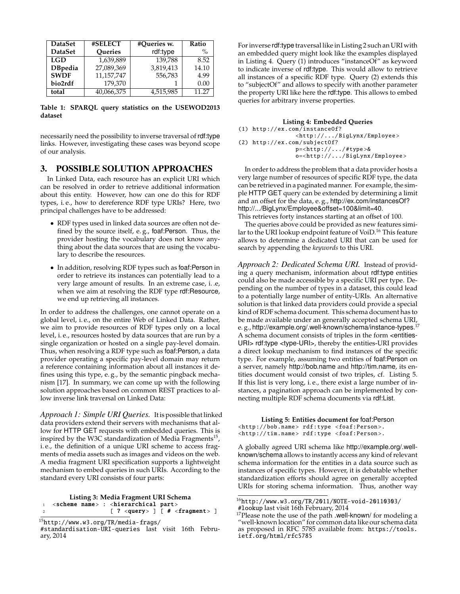| <b>DataSet</b> | #SELECT        | #Queries w. | Ratio         |
|----------------|----------------|-------------|---------------|
| <b>DataSet</b> | <b>Oueries</b> | rdf:type    | $\frac{0}{0}$ |
| <b>LGD</b>     | 1.639.889      | 139.788     | 8.52          |
| <b>DBpedia</b> | 27,089,369     | 3,819,413   | 14.10         |
| <b>SWDF</b>    | 11,157,747     | 556,783     | 4.99          |
| bio2rdf        | 179.370        |             | 0.00          |
| total          | 40,066,375     | 4,515,985   | 11.27         |

**Table 1: SPARQL query statistics on the USEWOD2013 dataset**

necessarily need the possibility to inverse traversal of rdf:type links. However, investigating these cases was beyond scope of our analysis.

# 3. POSSIBLE SOLUTION APPROACHES

In Linked Data, each resource has an explicit URI which can be resolved in order to retrieve additional information about this entity. However, how can one do this for RDF types, i. e., how to dereference RDF type URIs? Here, two principal challenges have to be addressed:

- RDF types used in linked data sources are often not defined by the source itself, e. g., foaf:Person. Thus, the provider hosting the vocabulary does not know anything about the data sources that are using the vocabulary to describe the resources.
- In addition, resolving RDF types such as foaf:Person in order to retrieve its instances can potentially lead to a very large amount of results. In an extreme case, i. .e, when we aim at resolving the RDF type rdf:Resource, we end up retrieving all instances.

In order to address the challenges, one cannot operate on a global level, i. e., on the entire Web of Linked Data. Rather, we aim to provide resources of RDF types only on a local level, i. e., resources hosted by data sources that are run by a single organization or hosted on a single pay-level domain. Thus, when resolving a RDF type such as foaf:Person, a data provider operating a specific pay-level domain may return a reference containing information about all instances it defines using this type, e. g., by the semantic pingback mechanism [17]. In summary, we can come up with the following solution approaches based on common REST practices to allow inverse link traversal on Linked Data:

*Approach 1: Simple URI Queries.* It is possible that linked data providers extend their servers with mechanisms that allow for HTTP GET requests with embedded queries. This is inspired by the W3C standardization of Media Fragments<sup>15</sup>, i. e., the definition of a unique URI scheme to access fragments of media assets such as images and videos on the web. A media fragment URI specification supports a lightweight mechanism to embed queries in such URIs. According to the standard every URI consists of four parts:

**Listing 3: Media Fragment URI Schema** 1 <scheme name> : <hierarchical part> 2  $[ ? <$ query >  $] [ # <$ fragment >  $]$ 

For inverse rdf:type traversal like in Listing 2 such an URI with an embedded query might look like the examples displayed in Listing 4. Query (1) introduces "instanceOf" as keyword to indicate inverse of rdf:type. This would allow to retrieve all instances of a specific RDF type. Query (2) extends this to "subjectOf" and allows to specify with another parameter the property URI like here the rdf:type. This allows to embed queries for arbitrary inverse properties.

#### **Listing 4: Embedded Queries** (1) http://ex.com/instance0f? <http ://.../ BigLynx/Employee > (2) http :// ex.com/ subjectOf? p=<http ://.../ #type >& o=<http ://.../ BigLynx/Employee >

In order to address the problem that a data provider hosts a very large number of resources of specific RDF type, the data can be retrieved in a paginated manner. For example, the simple HTTP GET query can be extended by determining a limit and an offset for the data, e. g., http://ex.com/instancesOf? http://.../BigLynx/Employee&offset=100&limit=40. This retrieves forty instances starting at an offset of 100.

The queries above could be provided as new features similar to the URI lookup endpoint feature of VoiD.<sup>16</sup> This feature allows to determine a dedicated URI that can be used for search by appending the *keywords* to this URI.

*Approach 2: Dedicated Schema URI.* Instead of providing a query mechanism, information about rdf:type entities could also be made accessible by a specific URI per type. Depending on the number of types in a dataset, this could lead to a potentially large number of entity-URIs. An alternative solution is that linked data providers could provide a special kind of RDF schema document. This schema document has to be made available under an generally accepted schema URI, e.g., http://example.org/.well-known/schema/instance-types.<sup>17</sup> A schema document consists of triples in the form <entities-URI> rdf:type <type-URI>, thereby the entities-URI provides a direct lookup mechanism to find instances of the specific type. For example, assuming two entities of foaf:Person on a server, namely http://bob.name and http://tim.name, its entities document would consist of two triples, cf. Listing 5. If this list is very long, i. e., there exist a large number of instances, a pagination approach can be implemented by connecting multiple RDF schema documents via rdf:List.

**Listing 5: Entities document for** foaf:Person <http :// bob.name > rdf:type <foaf:Person >. <http :// tim.name > rdf:type <foaf:Person >.

A globally agreed URI schema like http://example.org/.wellknown/schema allows to instantly access any kind of relevant schema information for the entities in a data source such as instances of specific types. However, it is debatable whether standardization efforts should agree on generally accepted URIs for storing schema information. Thus, another way

 $^{15}$ http://www.w $3.\texttt{org/TR/median-Frags/}$ 

<sup>#</sup>standardisation-URI-queries last visit 16th February, 2014

<sup>16</sup>http://www.w3.org/TR/2011/NOTE-void-20110303/ #lookup last visit 16th February, 2014

<sup>&</sup>lt;sup>17</sup>Please note the use of the path .well-known/ for modeling a "well-known location" for common data like our schema data as proposed in RFC 5785 available from: https://tools. ietf.org/html/rfc5785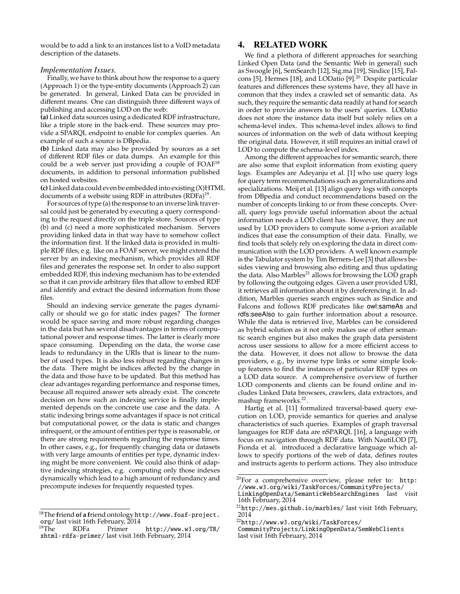would be to add a link to an instances list to a VoID metadata description of the datasets.

#### *Implementation Issues.*

Finally, we have to think about how the response to a query (Approach 1) or the type-entity documents (Approach 2) can be generated. In general, Linked Data can be provided in different means. One can distinguish three different ways of publishing and accessing LOD on the web:

**(a)** Linked data sources using a dedicated RDF infrastructure, like a triple store in the back-end. These sources may provide a SPARQL endpoint to enable for complex queries. An example of such a source is DBpedia.

**(b)** Linked data may also be provided by sources as a set of different RDF files or data dumps. An example for this could be a web server just providing a couple of FOAF<sup>18</sup> documents, in addition to personal information published on hosted websites.

**(c)**Linked data could even be embedded into existing (X)HTML documents of a website using RDF in attributes  $(RDFa)^{19}$ .

For sources of type (a) the response to an inverse link traversal could just be generated by executing a query corresponding to the request directly on the triple store. Sources of type (b) and (c) need a more sophisticated mechanism. Servers providing linked data in that way have to somehow collect the information first. If the linked data is provided in multiple RDF files, e.g. like on a FOAF server, we might extend the server by an indexing mechanism, which provides all RDF files and generates the response set. In order to also support embedded RDF, this indexing mechanism has to be extended so that it can provide arbitrary files that allow to embed RDF and identify and extract the desired information from those files.

Should an indexing service generate the pages dynamically or should we go for static index pages? The former would be space saving and more robust regarding changes in the data but has several disadvantages in terms of computational power and response times. The latter is clearly more space consuming. Depending on the data, the worse case leads to redundancy in the URIs that is linear to the number of used types. It is also less robust regarding changes in the data. There might be indices affected by the change in the data and those have to be updated. But this method has clear advantages regarding performance and response times, because all required answer sets already exist. The concrete decision on how such an indexing service is finally implemented depends on the concrete use case and the data. A static indexing brings some advantages if space is not critical but computational power, or the data is static and changes infrequent, or the amount of entities per type is reasonable, or there are strong requirements regarding the response times. In other cases, e.g., for frequently changing data or datasets with very large amounts of entities per type, dynamic indexing might be more convenient. We could also think of adaptive indexing strategies, e.g. computing only those indexes dynamically which lead to a high amount of redundancy and precompute indexes for frequently requested types.

## 4. RELATED WORK

We find a plethora of different approaches for searching Linked Open Data (and the Semantic Web in general) such as Swoogle [6], SemSearch [12], Sig.ma [19], Sindice [15], Falcons [5], Hermes [18], and LODatio [9].<sup>20</sup> Despite particular features and differences these systems have, they all have in common that they index a crawled set of semantic data. As such, they require the semantic data readily at hand for search in order to provide answers to the users' queries. LODatio does not store the instance data itself but solely relies on a schema-level index. This schema-level index allows to find sources of information on the web of data without keeping the original data. However, it still requires an initial crawl of LOD to compute the schema-level index.

Among the different approaches for semantic search, there are also some that exploit information from existing query logs. Examples are Adeyanju et al. [1] who use query logs for query term recommendations such as generalizations and specializations. Meij et al. [13] align query logs with concepts from DBpedia and conduct recommendations based on the number of concepts linking to or from these concepts. Overall, query logs provide useful information about the actual information needs a LOD client has. However, they are not used by LOD providers to compute some a-priori available indices that ease the consumption of their data. Finally, we find tools that solely rely on exploring the data in direct communication with the LOD providers. A well known example is the Tabulator system by Tim Berners-Lee [3] that allows besides viewing and browsing also editing and thus updating the data. Also Marbles<sup>21</sup> allows for browsing the LOD graph by following the outgoing edges. Given a user provided URI, it retrieves all information about it by dereferencing it. In addition, Marbles queries search engines such as Sindice and Falcons and follows RDF predicates like owl:sameAs and rdfs:seeAlso to gain further information about a resource. While the data is retrieved live, Marbles can be considered as hybrid solution as it not only makes use of other semantic search engines but also makes the graph data persistent across user sessions to allow for a more efficient access to the data. However, it does not allow to browse the data providers, e. g., by inverse type links or some simple lookup features to find the instances of particular RDF types on a LOD data source. A comprehensive overview of further LOD components and clients can be found online and includes Linked Data browsers, crawlers, data extractors, and mashup frameworks.<sup>22</sup>.

Hartig et al. [11] formalized traversal-based query execution on LOD, provide semantics for queries and analyse characteristics of such queries. Examples of graph traversal languages for RDF data are nSPARQL [16], a language with focus on navigation through RDF data. With NautiLOD [7], Fionda et al. introduced a declarative language which allows to specify portions of the web of data, defines routes and instructs agents to perform actions. They also introduce

<sup>18</sup>The **f**riend **o**f **a f**riend ontology http://www.foaf-project. org/ last visit 16th February, 2014<br><sup>19</sup>The RDFa Primer

http://www.w3.org/TR/ xhtml-rdfa-primer/ last visit 16th February, 2014

 $20$ For a comprehensive overview, please refer to: http: //www.w3.org/wiki/TaskForces/CommunityProjects/ LinkingOpenData/SemanticWebSearchEngines last visit

<sup>16</sup>th February, 2014

<sup>21</sup>http://mes.github.io/marbles/ last visit 16th February, 2014

<sup>22</sup>http://www.w3.org/wiki/TaskForces/

CommunityProjects/LinkingOpenData/SemWebClients last visit 16th February, 2014